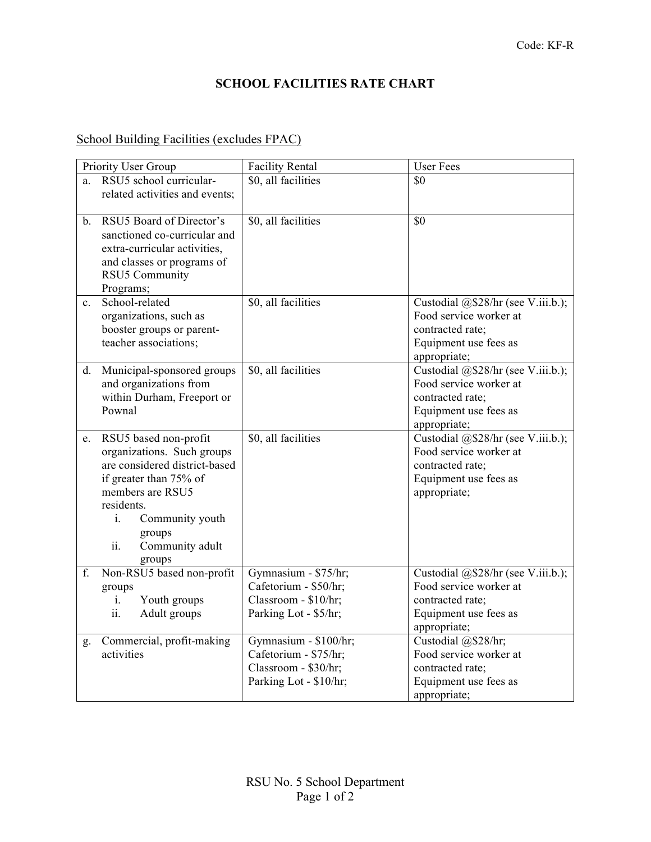## **SCHOOL FACILITIES RATE CHART**

## School Building Facilities (excludes FPAC)

| Priority User Group |                                         | <b>Facility Rental</b>                        | <b>User Fees</b>                                             |
|---------------------|-----------------------------------------|-----------------------------------------------|--------------------------------------------------------------|
| a.                  | RSU5 school curricular-                 | \$0, all facilities                           | \$0                                                          |
|                     | related activities and events;          |                                               |                                                              |
|                     |                                         |                                               |                                                              |
| $b_{-}$             | RSU5 Board of Director's                | \$0, all facilities                           | \$0                                                          |
|                     | sanctioned co-curricular and            |                                               |                                                              |
|                     | extra-curricular activities,            |                                               |                                                              |
|                     | and classes or programs of              |                                               |                                                              |
|                     | RSU5 Community                          |                                               |                                                              |
|                     | Programs;                               |                                               |                                                              |
| $c_{\cdot}$         | School-related                          | \$0, all facilities                           | Custodial @\$28/hr (see V.iii.b.);                           |
|                     | organizations, such as                  |                                               | Food service worker at                                       |
|                     | booster groups or parent-               |                                               | contracted rate;                                             |
|                     | teacher associations;                   |                                               | Equipment use fees as                                        |
|                     |                                         |                                               | appropriate;                                                 |
| d.                  | Municipal-sponsored groups              | \$0, all facilities                           | Custodial @\$28/hr (see V.iii.b.);                           |
|                     | and organizations from                  |                                               | Food service worker at                                       |
|                     | within Durham, Freeport or              |                                               | contracted rate;                                             |
|                     | Pownal                                  |                                               | Equipment use fees as                                        |
|                     |                                         |                                               | appropriate;                                                 |
| e.                  | RSU5 based non-profit                   | \$0, all facilities                           | Custodial @\$28/hr (see V.iii.b.);                           |
|                     | organizations. Such groups              |                                               | Food service worker at                                       |
|                     | are considered district-based           |                                               | contracted rate;                                             |
|                     | if greater than 75% of                  |                                               | Equipment use fees as                                        |
|                     | members are RSU5                        |                                               | appropriate;                                                 |
|                     | residents.                              |                                               |                                                              |
|                     | $i$ .<br>Community youth                |                                               |                                                              |
|                     | groups                                  |                                               |                                                              |
|                     | Community adult<br>ii.                  |                                               |                                                              |
| f.                  | groups                                  |                                               |                                                              |
|                     | Non-RSU5 based non-profit               | Gymnasium - \$75/hr;<br>Cafetorium - \$50/hr; | Custodial @\$28/hr (see V.iii.b.);<br>Food service worker at |
|                     | groups<br>Youth groups                  | Classroom - \$10/hr;                          | contracted rate;                                             |
|                     | i.<br>ii.                               |                                               |                                                              |
|                     | Adult groups                            | Parking Lot - \$5/hr;                         | Equipment use fees as                                        |
|                     |                                         | Gymnasium - \$100/hr;                         | appropriate;<br>Custodial @\$28/hr;                          |
| g.                  | Commercial, profit-making<br>activities | Cafetorium - \$75/hr;                         | Food service worker at                                       |
|                     |                                         | Classroom - \$30/hr;                          | contracted rate;                                             |
|                     |                                         | Parking Lot - \$10/hr;                        | Equipment use fees as                                        |
|                     |                                         |                                               | appropriate;                                                 |
|                     |                                         |                                               |                                                              |